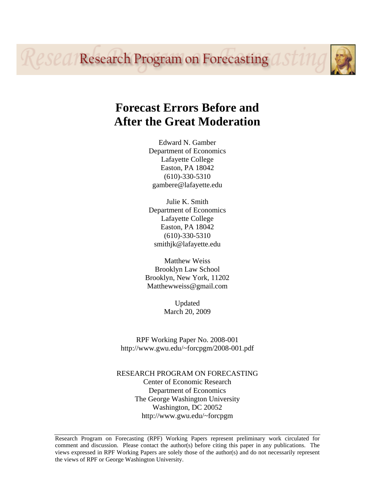**Research Program on Forecasting asting** 

# **Forecast Errors Before and After the Great Moderation**

Edward N. Gamber Department of Economics Lafayette College Easton, PA 18042 (610)-330-5310 gambere@lafayette.edu

Julie K. Smith Department of Economics Lafayette College Easton, PA 18042 (610)-330-5310 smithjk@lafayette.edu

Matthew Weiss Brooklyn Law School Brooklyn, New York, 11202 Matthewweiss@gmail.com

> Updated March 20, 2009

RPF Working Paper No. 2008-001 http://www.gwu.edu/~forcpgm/2008-001.pdf

RESEARCH PROGRAM ON FORECASTING Center of Economic Research Department of Economics The George Washington University Washington, DC 20052 http://www.gwu.edu/~forcpgm

Research Program on Forecasting (RPF) Working Papers represent preliminary work circulated for comment and discussion. Please contact the author(s) before citing this paper in any publications. The views expressed in RPF Working Papers are solely those of the author(s) and do not necessarily represent the views of RPF or George Washington University.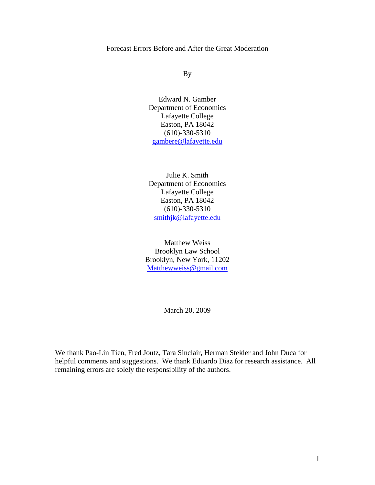Forecast Errors Before and After the Great Moderation

By

Edward N. Gamber Department of Economics Lafayette College Easton, PA 18042 (610)-330-5310 gambere@lafayette.edu

Julie K. Smith Department of Economics Lafayette College Easton, PA 18042 (610)-330-5310 smithjk@lafayette.edu

Matthew Weiss Brooklyn Law School Brooklyn, New York, 11202 Matthewweiss@gmail.com

March 20, 2009

We thank Pao-Lin Tien, Fred Joutz, Tara Sinclair, Herman Stekler and John Duca for helpful comments and suggestions. We thank Eduardo Diaz for research assistance. All remaining errors are solely the responsibility of the authors.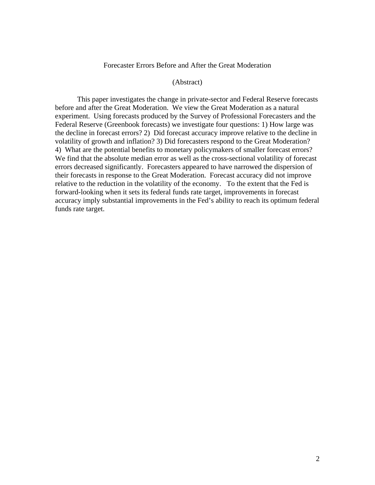## Forecaster Errors Before and After the Great Moderation

#### (Abstract)

This paper investigates the change in private-sector and Federal Reserve forecasts before and after the Great Moderation. We view the Great Moderation as a natural experiment. Using forecasts produced by the Survey of Professional Forecasters and the Federal Reserve (Greenbook forecasts) we investigate four questions: 1) How large was the decline in forecast errors? 2) Did forecast accuracy improve relative to the decline in volatility of growth and inflation? 3) Did forecasters respond to the Great Moderation? 4) What are the potential benefits to monetary policymakers of smaller forecast errors? We find that the absolute median error as well as the cross-sectional volatility of forecast errors decreased significantly. Forecasters appeared to have narrowed the dispersion of their forecasts in response to the Great Moderation. Forecast accuracy did not improve relative to the reduction in the volatility of the economy. To the extent that the Fed is forward-looking when it sets its federal funds rate target, improvements in forecast accuracy imply substantial improvements in the Fed's ability to reach its optimum federal funds rate target.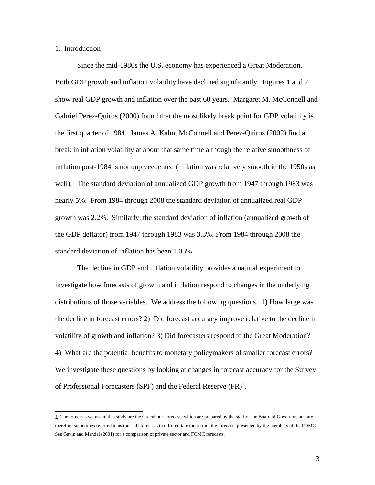#### 1. Introduction

Since the mid-1980s the U.S. economy has experienced a Great Moderation. Both GDP growth and inflation volatility have declined significantly. Figures 1 and 2 show real GDP growth and inflation over the past 60 years. Margaret M. McConnell and Gabriel Perez-Quiros (2000) found that the most likely break point for GDP volatility is the first quarter of 1984. James A. Kahn, McConnell and Perez-Quiros (2002) find a break in inflation volatility at about that same time although the relative smoothness of inflation post-1984 is not unprecedented (inflation was relatively smooth in the 1950s as well). The standard deviation of annualized GDP growth from 1947 through 1983 was nearly 5%. From 1984 through 2008 the standard deviation of annualized real GDP growth was 2.2%. Similarly, the standard deviation of inflation (annualized growth of the GDP deflator) from 1947 through 1983 was 3.3%. From 1984 through 2008 the standard deviation of inflation has been 1.05%.

The decline in GDP and inflation volatility provides a natural experiment to investigate how forecasts of growth and inflation respond to changes in the underlying distributions of those variables. We address the following questions. 1) How large was the decline in forecast errors? 2) Did forecast accuracy improve relative to the decline in volatility of growth and inflation? 3) Did forecasters respond to the Great Moderation? 4) What are the potential benefits to monetary policymakers of smaller forecast errors? We investigate these questions by looking at changes in forecast accuracy for the Survey of Professional Forecasters (SPF) and the Federal Reserve  $(FR)^{1}$ .

 $\overline{a}$ 1. The forecasts we use in this study are the Greenbook forecasts which are prepared by the staff of the Board of Governors and are therefore sometimes referred to as the staff forecasts to differentiate them from the forecasts presented by the members of the FOMC. See Gavin and Mandal (2001) for a comparison of private sector and FOMC forecasts.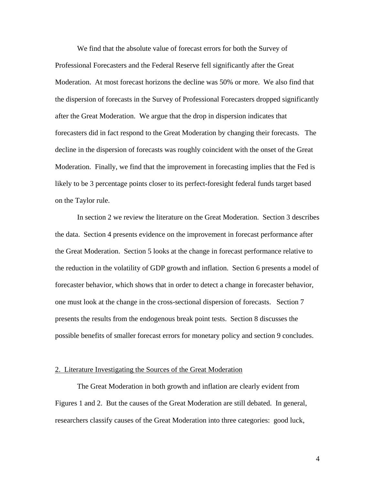We find that the absolute value of forecast errors for both the Survey of Professional Forecasters and the Federal Reserve fell significantly after the Great Moderation. At most forecast horizons the decline was 50% or more. We also find that the dispersion of forecasts in the Survey of Professional Forecasters dropped significantly after the Great Moderation. We argue that the drop in dispersion indicates that forecasters did in fact respond to the Great Moderation by changing their forecasts. The decline in the dispersion of forecasts was roughly coincident with the onset of the Great Moderation. Finally, we find that the improvement in forecasting implies that the Fed is likely to be 3 percentage points closer to its perfect-foresight federal funds target based on the Taylor rule.

In section 2 we review the literature on the Great Moderation. Section 3 describes the data. Section 4 presents evidence on the improvement in forecast performance after the Great Moderation. Section 5 looks at the change in forecast performance relative to the reduction in the volatility of GDP growth and inflation. Section 6 presents a model of forecaster behavior, which shows that in order to detect a change in forecaster behavior, one must look at the change in the cross-sectional dispersion of forecasts. Section 7 presents the results from the endogenous break point tests. Section 8 discusses the possible benefits of smaller forecast errors for monetary policy and section 9 concludes.

#### 2. Literature Investigating the Sources of the Great Moderation

The Great Moderation in both growth and inflation are clearly evident from Figures 1 and 2. But the causes of the Great Moderation are still debated. In general, researchers classify causes of the Great Moderation into three categories: good luck,

4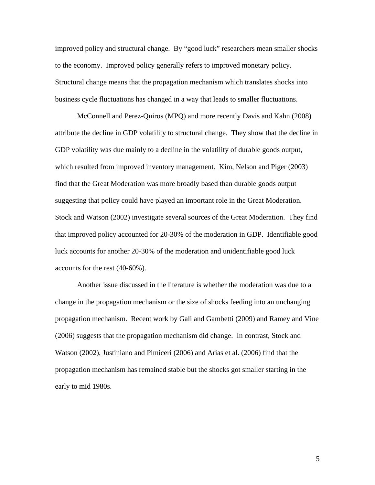improved policy and structural change. By "good luck" researchers mean smaller shocks to the economy. Improved policy generally refers to improved monetary policy. Structural change means that the propagation mechanism which translates shocks into business cycle fluctuations has changed in a way that leads to smaller fluctuations.

McConnell and Perez-Quiros (MPQ) and more recently Davis and Kahn (2008) attribute the decline in GDP volatility to structural change. They show that the decline in GDP volatility was due mainly to a decline in the volatility of durable goods output, which resulted from improved inventory management. Kim, Nelson and Piger (2003) find that the Great Moderation was more broadly based than durable goods output suggesting that policy could have played an important role in the Great Moderation. Stock and Watson (2002) investigate several sources of the Great Moderation. They find that improved policy accounted for 20-30% of the moderation in GDP. Identifiable good luck accounts for another 20-30% of the moderation and unidentifiable good luck accounts for the rest (40-60%).

 Another issue discussed in the literature is whether the moderation was due to a change in the propagation mechanism or the size of shocks feeding into an unchanging propagation mechanism. Recent work by Gali and Gambetti (2009) and Ramey and Vine (2006) suggests that the propagation mechanism did change. In contrast, Stock and Watson (2002), Justiniano and Pimiceri (2006) and Arias et al. (2006) find that the propagation mechanism has remained stable but the shocks got smaller starting in the early to mid 1980s.

5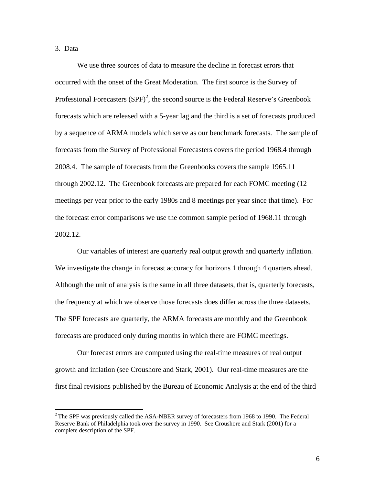3. Data

1

We use three sources of data to measure the decline in forecast errors that occurred with the onset of the Great Moderation. The first source is the Survey of Professional Forecasters  $(SPF)^2$ , the second source is the Federal Reserve's Greenbook forecasts which are released with a 5-year lag and the third is a set of forecasts produced by a sequence of ARMA models which serve as our benchmark forecasts. The sample of forecasts from the Survey of Professional Forecasters covers the period 1968.4 through 2008.4. The sample of forecasts from the Greenbooks covers the sample 1965.11 through 2002.12. The Greenbook forecasts are prepared for each FOMC meeting (12 meetings per year prior to the early 1980s and 8 meetings per year since that time). For the forecast error comparisons we use the common sample period of 1968.11 through 2002.12.

Our variables of interest are quarterly real output growth and quarterly inflation. We investigate the change in forecast accuracy for horizons 1 through 4 quarters ahead. Although the unit of analysis is the same in all three datasets, that is, quarterly forecasts, the frequency at which we observe those forecasts does differ across the three datasets. The SPF forecasts are quarterly, the ARMA forecasts are monthly and the Greenbook forecasts are produced only during months in which there are FOMC meetings.

Our forecast errors are computed using the real-time measures of real output growth and inflation (see Croushore and Stark, 2001). Our real-time measures are the first final revisions published by the Bureau of Economic Analysis at the end of the third

 $2$ The SPF was previously called the ASA-NBER survey of forecasters from 1968 to 1990. The Federal Reserve Bank of Philadelphia took over the survey in 1990. See Croushore and Stark (2001) for a complete description of the SPF.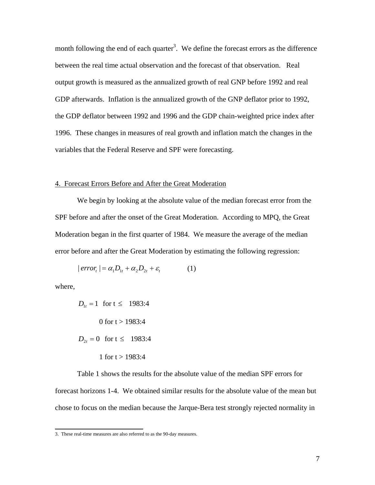month following the end of each quarter<sup>3</sup>. We define the forecast errors as the difference between the real time actual observation and the forecast of that observation. Real output growth is measured as the annualized growth of real GNP before 1992 and real GDP afterwards. Inflation is the annualized growth of the GNP deflator prior to 1992, the GDP deflator between 1992 and 1996 and the GDP chain-weighted price index after 1996. These changes in measures of real growth and inflation match the changes in the variables that the Federal Reserve and SPF were forecasting.

#### 4. Forecast Errors Before and After the Great Moderation

 We begin by looking at the absolute value of the median forecast error from the SPF before and after the onset of the Great Moderation. According to MPQ, the Great Moderation began in the first quarter of 1984. We measure the average of the median error before and after the Great Moderation by estimating the following regression:

$$
|errort| = \alpha_1 D_{1t} + \alpha_2 D_{2t} + \varepsilon_t
$$
 (1)

where,

$$
D_{1t} = 1
$$
 for  $t \le 1983:4$   
0 for  $t > 1983:4$   
 $D_{2t} = 0$  for  $t \le 1983:4$   
1 for  $t > 1983:4$ 

 Table 1 shows the results for the absolute value of the median SPF errors for forecast horizons 1-4. We obtained similar results for the absolute value of the mean but chose to focus on the median because the Jarque-Bera test strongly rejected normality in

 3. These real-time measures are also referred to as the 90-day measures.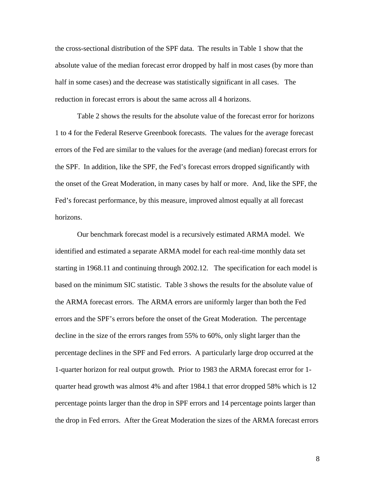the cross-sectional distribution of the SPF data. The results in Table 1 show that the absolute value of the median forecast error dropped by half in most cases (by more than half in some cases) and the decrease was statistically significant in all cases. The reduction in forecast errors is about the same across all 4 horizons.

 Table 2 shows the results for the absolute value of the forecast error for horizons 1 to 4 for the Federal Reserve Greenbook forecasts. The values for the average forecast errors of the Fed are similar to the values for the average (and median) forecast errors for the SPF. In addition, like the SPF, the Fed's forecast errors dropped significantly with the onset of the Great Moderation, in many cases by half or more. And, like the SPF, the Fed's forecast performance, by this measure, improved almost equally at all forecast horizons.

 Our benchmark forecast model is a recursively estimated ARMA model. We identified and estimated a separate ARMA model for each real-time monthly data set starting in 1968.11 and continuing through 2002.12. The specification for each model is based on the minimum SIC statistic. Table 3 shows the results for the absolute value of the ARMA forecast errors. The ARMA errors are uniformly larger than both the Fed errors and the SPF's errors before the onset of the Great Moderation. The percentage decline in the size of the errors ranges from 55% to 60%, only slight larger than the percentage declines in the SPF and Fed errors. A particularly large drop occurred at the 1-quarter horizon for real output growth. Prior to 1983 the ARMA forecast error for 1 quarter head growth was almost 4% and after 1984.1 that error dropped 58% which is 12 percentage points larger than the drop in SPF errors and 14 percentage points larger than the drop in Fed errors. After the Great Moderation the sizes of the ARMA forecast errors

8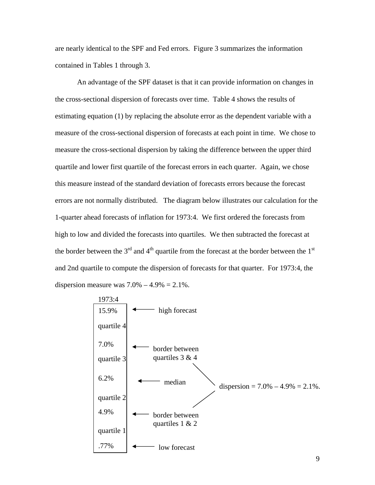are nearly identical to the SPF and Fed errors. Figure 3 summarizes the information contained in Tables 1 through 3.

 An advantage of the SPF dataset is that it can provide information on changes in the cross-sectional dispersion of forecasts over time. Table 4 shows the results of estimating equation (1) by replacing the absolute error as the dependent variable with a measure of the cross-sectional dispersion of forecasts at each point in time. We chose to measure the cross-sectional dispersion by taking the difference between the upper third quartile and lower first quartile of the forecast errors in each quarter. Again, we chose this measure instead of the standard deviation of forecasts errors because the forecast errors are not normally distributed. The diagram below illustrates our calculation for the 1-quarter ahead forecasts of inflation for 1973:4. We first ordered the forecasts from high to low and divided the forecasts into quartiles. We then subtracted the forecast at the border between the  $3<sup>rd</sup>$  and  $4<sup>th</sup>$  quartile from the forecast at the border between the  $1<sup>st</sup>$ and 2nd quartile to compute the dispersion of forecasts for that quarter. For 1973:4, the dispersion measure was  $7.0% - 4.9% = 2.1%$ .

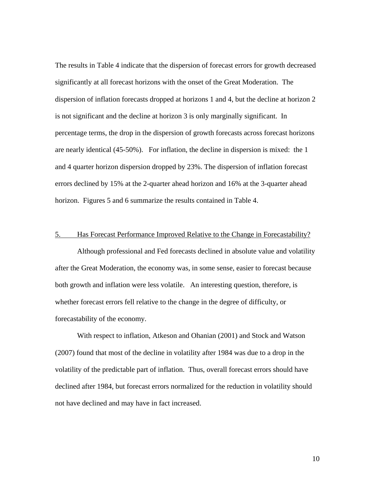The results in Table 4 indicate that the dispersion of forecast errors for growth decreased significantly at all forecast horizons with the onset of the Great Moderation. The dispersion of inflation forecasts dropped at horizons 1 and 4, but the decline at horizon 2 is not significant and the decline at horizon 3 is only marginally significant. In percentage terms, the drop in the dispersion of growth forecasts across forecast horizons are nearly identical (45-50%). For inflation, the decline in dispersion is mixed: the 1 and 4 quarter horizon dispersion dropped by 23%. The dispersion of inflation forecast errors declined by 15% at the 2-quarter ahead horizon and 16% at the 3-quarter ahead horizon. Figures 5 and 6 summarize the results contained in Table 4.

#### 5. Has Forecast Performance Improved Relative to the Change in Forecastability?

 Although professional and Fed forecasts declined in absolute value and volatility after the Great Moderation, the economy was, in some sense, easier to forecast because both growth and inflation were less volatile. An interesting question, therefore, is whether forecast errors fell relative to the change in the degree of difficulty, or forecastability of the economy.

With respect to inflation, Atkeson and Ohanian (2001) and Stock and Watson (2007) found that most of the decline in volatility after 1984 was due to a drop in the volatility of the predictable part of inflation. Thus, overall forecast errors should have declined after 1984, but forecast errors normalized for the reduction in volatility should not have declined and may have in fact increased.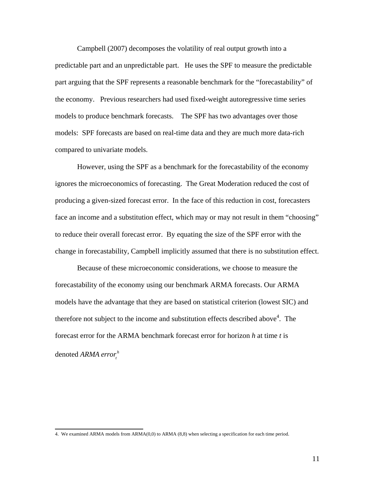Campbell (2007) decomposes the volatility of real output growth into a predictable part and an unpredictable part. He uses the SPF to measure the predictable part arguing that the SPF represents a reasonable benchmark for the "forecastability" of the economy. Previous researchers had used fixed-weight autoregressive time series models to produce benchmark forecasts. The SPF has two advantages over those models: SPF forecasts are based on real-time data and they are much more data-rich compared to univariate models.

However, using the SPF as a benchmark for the forecastability of the economy ignores the microeconomics of forecasting. The Great Moderation reduced the cost of producing a given-sized forecast error. In the face of this reduction in cost, forecasters face an income and a substitution effect, which may or may not result in them "choosing" to reduce their overall forecast error. By equating the size of the SPF error with the change in forecastability, Campbell implicitly assumed that there is no substitution effect.

 Because of these microeconomic considerations, we choose to measure the forecastability of the economy using our benchmark ARMA forecasts. Our ARMA models have the advantage that they are based on statistical criterion (lowest SIC) and therefore not subject to the income and substitution effects described above<sup>4</sup>. The forecast error for the ARMA benchmark forecast error for horizon *h* at time *t* is denoted *ARMA error*<sup>h</sup>

<sup>4.</sup> We examined ARMA models from  $ARMA(0,0)$  to ARMA (8,8) when selecting a specification for each time period.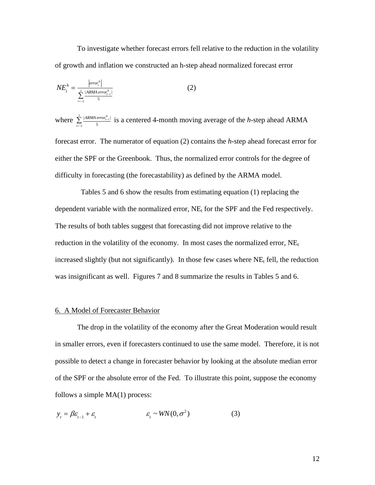To investigate whether forecast errors fell relative to the reduction in the volatility of growth and inflation we constructed an h-step ahead normalized forecast error

$$
NE_t^h = \frac{|error_t^h|}{\sum_{i=2}^2 \frac{|ARMerror_{t-i}^h|}{5}}
$$
 (2)

 $\text{where} \ \sum_{i=1}^{2} \frac{|ARMA\ error^{h}_{t-i}|}{\sigma}$  $\sum_{i=-2}$  5  $\sum_{i=1}^{\infty} \frac{|ARMerror_{i-i}^{h}|}{\epsilon}$  is a centered 4-month moving average of the *h*-step ahead ARMA forecast error. The numerator of equation (2) contains the *h*-step ahead forecast error for either the SPF or the Greenbook. Thus, the normalized error controls for the degree of difficulty in forecasting (the forecastability) as defined by the ARMA model.

 Tables 5 and 6 show the results from estimating equation (1) replacing the dependent variable with the normalized error,  $NE_t$  for the SPF and the Fed respectively. The results of both tables suggest that forecasting did not improve relative to the reduction in the volatility of the economy. In most cases the normalized error,  $NE<sub>t</sub>$ increased slightly (but not significantly). In those few cases where  $NE<sub>t</sub>$  fell, the reduction was insignificant as well. Figures 7 and 8 summarize the results in Tables 5 and 6.

#### 6. A Model of Forecaster Behavior

The drop in the volatility of the economy after the Great Moderation would result in smaller errors, even if forecasters continued to use the same model. Therefore, it is not possible to detect a change in forecaster behavior by looking at the absolute median error of the SPF or the absolute error of the Fed. To illustrate this point, suppose the economy follows a simple MA(1) process:

$$
y_t = \beta \varepsilon_{t-1} + \varepsilon_t \qquad \qquad \varepsilon_t \sim \text{WN}(0, \sigma^2) \tag{3}
$$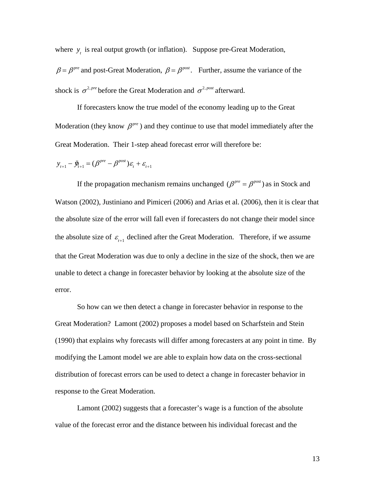where  $y_t$  is real output growth (or inflation). Suppose pre-Great Moderation,

 $\beta = \beta^{pre}$  and post-Great Moderation,  $\beta = \beta^{post}$ . Further, assume the variance of the shock is  $\sigma^{2, pre}$  before the Great Moderation and  $\sigma^{2, post}$  afterward.

 If forecasters know the true model of the economy leading up to the Great Moderation (they know  $\beta^{pre}$ ) and they continue to use that model immediately after the Great Moderation. Their 1-step ahead forecast error will therefore be:

$$
\mathbf{y}_{t+1} - \ddot{\mathbf{y}}_{t+1} = (\boldsymbol{\beta}^{pre} - \boldsymbol{\beta}^{post})\boldsymbol{\varepsilon}_t + \boldsymbol{\varepsilon}_{t+1}
$$

If the propagation mechanism remains unchanged ( $\beta^{pre} = \beta^{post}$ ) as in Stock and Watson (2002), Justiniano and Pimiceri (2006) and Arias et al. (2006), then it is clear that the absolute size of the error will fall even if forecasters do not change their model since the absolute size of  $\varepsilon_{t+1}$  declined after the Great Moderation. Therefore, if we assume that the Great Moderation was due to only a decline in the size of the shock, then we are unable to detect a change in forecaster behavior by looking at the absolute size of the error.

So how can we then detect a change in forecaster behavior in response to the Great Moderation? Lamont (2002) proposes a model based on Scharfstein and Stein (1990) that explains why forecasts will differ among forecasters at any point in time. By modifying the Lamont model we are able to explain how data on the cross-sectional distribution of forecast errors can be used to detect a change in forecaster behavior in response to the Great Moderation.

Lamont (2002) suggests that a forecaster's wage is a function of the absolute value of the forecast error and the distance between his individual forecast and the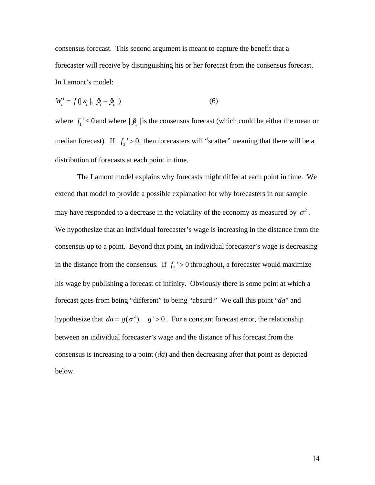consensus forecast. This second argument is meant to capture the benefit that a forecaster will receive by distinguishing his or her forecast from the consensus forecast. In Lamont's model:

$$
W_i^i = f(|\varepsilon_i|, |\dot{\mathbf{y}}_i - \dot{\mathbf{y}}_c|)
$$
 (6)

where  $f_1$ '  $\leq 0$  and where  $|\ddot{y}_c|$  is the consensus forecast (which could be either the mean or median forecast). If  $f_2$ ' > 0, then forecasters will "scatter" meaning that there will be a distribution of forecasts at each point in time.

 The Lamont model explains why forecasts might differ at each point in time. We extend that model to provide a possible explanation for why forecasters in our sample may have responded to a decrease in the volatility of the economy as measured by  $\sigma^2$ . We hypothesize that an individual forecaster's wage is increasing in the distance from the consensus up to a point. Beyond that point, an individual forecaster's wage is decreasing in the distance from the consensus. If  $f_2$  ' > 0 throughout, a forecaster would maximize his wage by publishing a forecast of infinity. Obviously there is some point at which a forecast goes from being "different" to being "absurd." We call this point "*da*" and hypothesize that  $da = g(\sigma^2)$ ,  $g' > 0$ . For a constant forecast error, the relationship between an individual forecaster's wage and the distance of his forecast from the consensus is increasing to a point (*da*) and then decreasing after that point as depicted below.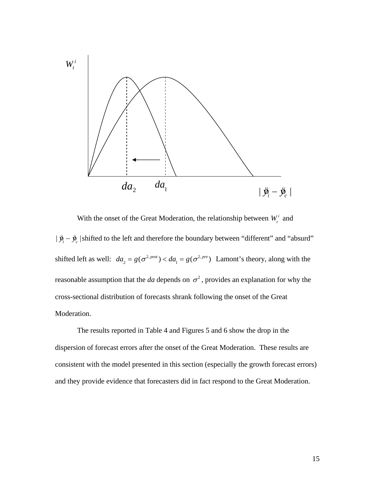

With the onset of the Great Moderation, the relationship between  $W_t^i$  and |  $\ddot{y}_i - \ddot{y}_c$  |shifted to the left and therefore the boundary between "different" and "absurd" shifted left as well:  $da_2 = g(\sigma^{2, post}) < da_1 = g(\sigma^{2, pre})$  Lamont's theory, along with the reasonable assumption that the *da* depends on  $\sigma^2$ , provides an explanation for why the cross-sectional distribution of forecasts shrank following the onset of the Great Moderation.

The results reported in Table 4 and Figures 5 and 6 show the drop in the dispersion of forecast errors after the onset of the Great Moderation. These results are consistent with the model presented in this section (especially the growth forecast errors) and they provide evidence that forecasters did in fact respond to the Great Moderation.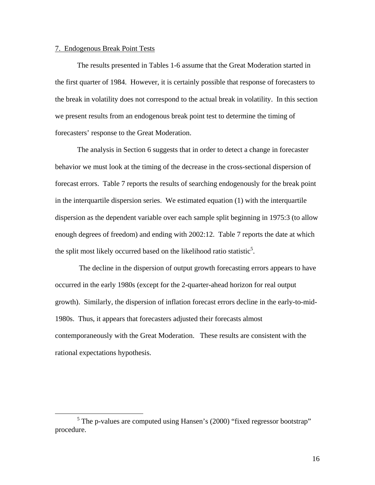#### 7. Endogenous Break Point Tests

 The results presented in Tables 1-6 assume that the Great Moderation started in the first quarter of 1984. However, it is certainly possible that response of forecasters to the break in volatility does not correspond to the actual break in volatility. In this section we present results from an endogenous break point test to determine the timing of forecasters' response to the Great Moderation.

The analysis in Section 6 suggests that in order to detect a change in forecaster behavior we must look at the timing of the decrease in the cross-sectional dispersion of forecast errors. Table 7 reports the results of searching endogenously for the break point in the interquartile dispersion series. We estimated equation (1) with the interquartile dispersion as the dependent variable over each sample split beginning in 1975:3 (to allow enough degrees of freedom) and ending with 2002:12. Table 7 reports the date at which the split most likely occurred based on the likelihood ratio statistic<sup>5</sup>.

 The decline in the dispersion of output growth forecasting errors appears to have occurred in the early 1980s (except for the 2-quarter-ahead horizon for real output growth). Similarly, the dispersion of inflation forecast errors decline in the early-to-mid-1980s. Thus, it appears that forecasters adjusted their forecasts almost contemporaneously with the Great Moderation. These results are consistent with the rational expectations hypothesis.

 $\frac{1}{5}$  $5$  The p-values are computed using Hansen's (2000) "fixed regressor bootstrap" procedure.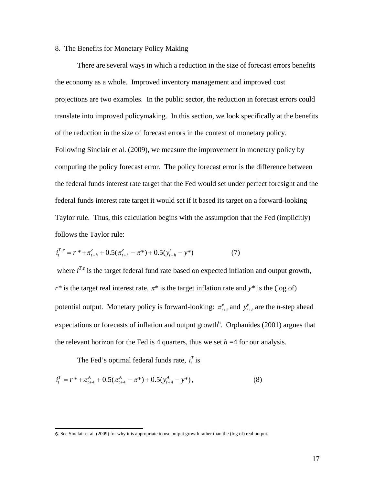#### 8. The Benefits for Monetary Policy Making

There are several ways in which a reduction in the size of forecast errors benefits the economy as a whole. Improved inventory management and improved cost projections are two examples. In the public sector, the reduction in forecast errors could translate into improved policymaking. In this section, we look specifically at the benefits of the reduction in the size of forecast errors in the context of monetary policy. Following Sinclair et al. (2009), we measure the improvement in monetary policy by computing the policy forecast error. The policy forecast error is the difference between the federal funds interest rate target that the Fed would set under perfect foresight and the federal funds interest rate target it would set if it based its target on a forward-looking Taylor rule. Thus, this calculation begins with the assumption that the Fed (implicitly) follows the Taylor rule:

$$
i_t^{T,e} = r^* + \pi_{t+h}^e + 0.5(\pi_{t+h}^e - \pi^*) + 0.5(y_{t+h}^e - y^*)
$$
 (7)

where  $i^{T,e}$  is the target federal fund rate based on expected inflation and output growth,  $r^*$  is the target real interest rate,  $\pi^*$  is the target inflation rate and  $y^*$  is the (log of) potential output. Monetary policy is forward-looking:  $\pi_{t+h}^e$  and  $y_{t+h}^e$  are the *h*-step ahead expectations or forecasts of inflation and output growth<sup>6</sup>. Orphanides  $(2001)$  argues that the relevant horizon for the Fed is 4 quarters, thus we set  $h = 4$  for our analysis.

The Fed's optimal federal funds rate,  $i_t^T$  is

 $\overline{a}$ 

$$
i_t^T = r^* + \pi_{t+4}^A + 0.5(\pi_{t+4}^A - \pi^*) + 0.5(y_{t+4}^A - y^*),
$$
\n(8)

<sup>6</sup>. See Sinclair et al. (2009) for why it is appropriate to use output growth rather than the (log of) real output.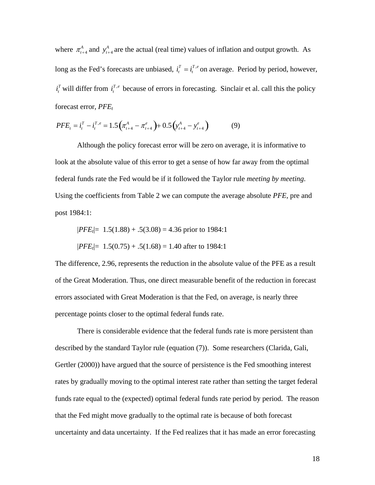where  $\pi_{t+4}^A$  and  $y_{t+4}^A$  are the actual (real time) values of inflation and output growth. As long as the Fed's forecasts are unbiased,  $i_t^T = i_t^{T,e}$  on average. Period by period, however,  $i_t^T$  will differ from  $i_t^{T,e}$  because of errors in forecasting. Sinclair et al. call this the policy forecast error, *PFE<sub>t</sub>* 

$$
PFE_t = i_t^T - i_t^{T,e} = 1.5\left(\pi_{t+4}^A - \pi_{t+4}^e\right) + 0.5\left(y_{t+4}^A - y_{t+4}^e\right)
$$
(9)

 Although the policy forecast error will be zero on average, it is informative to look at the absolute value of this error to get a sense of how far away from the optimal federal funds rate the Fed would be if it followed the Taylor rule *meeting by meeting*. Using the coefficients from Table 2 we can compute the average absolute *PFE,* pre and post 1984:1:

$$
|PFE_t| = 1.5(1.88) + .5(3.08) = 4.36 \text{ prior to } 1984:1
$$
  

$$
|PFE_t| = 1.5(0.75) + .5(1.68) = 1.40 \text{ after to } 1984:1
$$

The difference, 2.96, represents the reduction in the absolute value of the PFE as a result of the Great Moderation. Thus, one direct measurable benefit of the reduction in forecast errors associated with Great Moderation is that the Fed, on average, is nearly three percentage points closer to the optimal federal funds rate.

 There is considerable evidence that the federal funds rate is more persistent than described by the standard Taylor rule (equation (7)). Some researchers (Clarida, Gali, Gertler (2000)) have argued that the source of persistence is the Fed smoothing interest rates by gradually moving to the optimal interest rate rather than setting the target federal funds rate equal to the (expected) optimal federal funds rate period by period. The reason that the Fed might move gradually to the optimal rate is because of both forecast uncertainty and data uncertainty. If the Fed realizes that it has made an error forecasting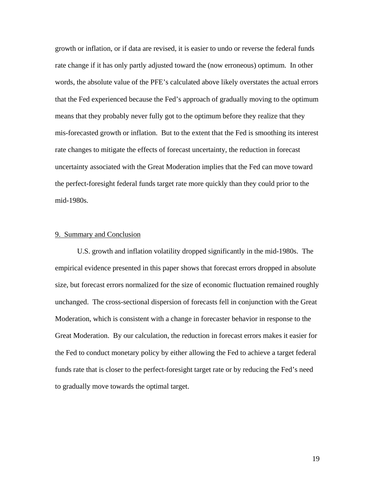growth or inflation, or if data are revised, it is easier to undo or reverse the federal funds rate change if it has only partly adjusted toward the (now erroneous) optimum. In other words, the absolute value of the PFE's calculated above likely overstates the actual errors that the Fed experienced because the Fed's approach of gradually moving to the optimum means that they probably never fully got to the optimum before they realize that they mis-forecasted growth or inflation. But to the extent that the Fed is smoothing its interest rate changes to mitigate the effects of forecast uncertainty, the reduction in forecast uncertainty associated with the Great Moderation implies that the Fed can move toward the perfect-foresight federal funds target rate more quickly than they could prior to the mid-1980s.

#### 9. Summary and Conclusion

 U.S. growth and inflation volatility dropped significantly in the mid-1980s. The empirical evidence presented in this paper shows that forecast errors dropped in absolute size, but forecast errors normalized for the size of economic fluctuation remained roughly unchanged. The cross-sectional dispersion of forecasts fell in conjunction with the Great Moderation, which is consistent with a change in forecaster behavior in response to the Great Moderation. By our calculation, the reduction in forecast errors makes it easier for the Fed to conduct monetary policy by either allowing the Fed to achieve a target federal funds rate that is closer to the perfect-foresight target rate or by reducing the Fed's need to gradually move towards the optimal target.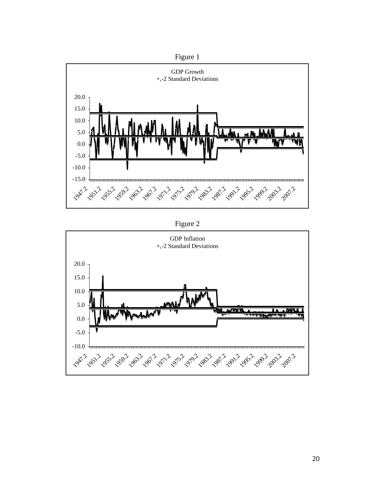



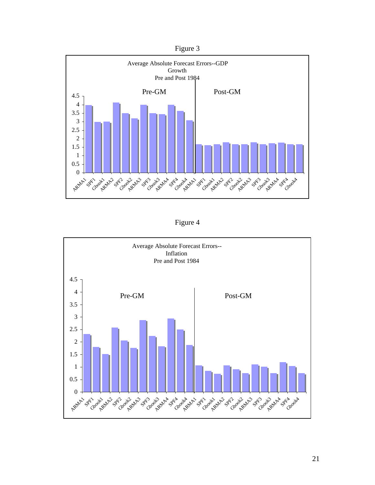



Figure 4

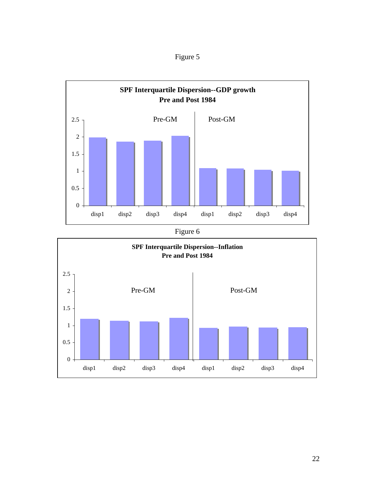



disp1 disp2 disp3 disp4 disp1 disp2 disp3 disp4

0

0.5

1

1.5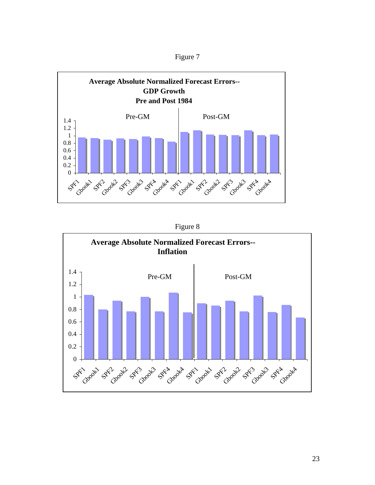



Figure 8

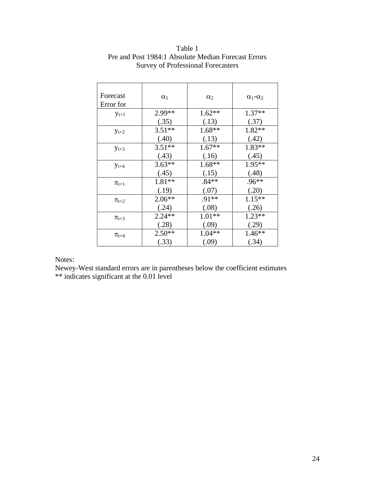| Forecast<br>Error for | $\alpha_1$ | $\alpha_2$ | $\alpha_1 - \alpha_2$ |
|-----------------------|------------|------------|-----------------------|
| $y_{t+1}$             | 2.99 **    | $1.62**$   | $1.37**$              |
|                       | (.35)      | (.13)      | (.37)                 |
| $y_{t+2}$             | $3.51**$   | $1.68**$   | 1.82**                |
|                       | (.40)      | (.13)      | (.42)                 |
| $y_{t+3}$             | $3.51**$   | $1.67**$   | 1.83**                |
|                       | (.43)      | (.16)      | (.45)                 |
| $y_{t+4}$             | $3.63**$   | $1.68**$   | 1.95**                |
|                       | (.45)      | (.15)      | (.48)                 |
| $\pi_{t+1}$           | 1.81**     | $.84**$    | $.96**$               |
|                       | (.19)      | (.07)      | (.20)                 |
| $\pi_{t+2}$           | $2.06**$   | $.91**$    | $1.15**$              |
|                       | (.24)      | (.08)      | (.26)                 |
| $\pi_{t+3}$           | $2.24**$   | $1.01**$   | $1.23**$              |
|                       | (.28)      | (.09)      | (.29)                 |
| $\pi_{t+4}$           | $2.50**$   | $1.04**$   | $1.46**$              |
|                       | (.33)      | (.09)      | (.34)                 |

# Table 1 Pre and Post 1984:1 Absolute Median Forecast Errors Survey of Professional Forecasters

## Notes:

Newey-West standard errors are in parentheses below the coefficient estimates \*\* indicates significant at the 0.01 level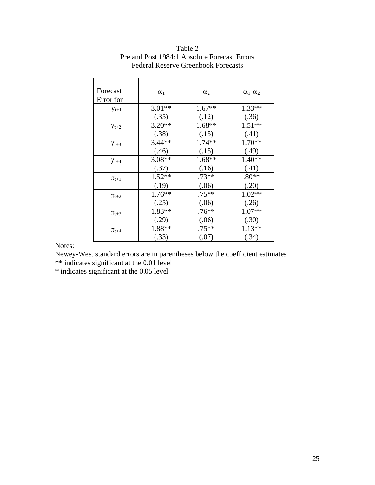| Forecast<br>Error for | $\alpha_1$ | $\alpha_2$ | $\alpha_1 - \alpha_2$ |
|-----------------------|------------|------------|-----------------------|
| $y_{t+1}$             | $3.01**$   | $1.67**$   | $1.33**$              |
|                       | (.35)      | (.12)      | (.36)                 |
| $y_{t+2}$             | $3.20**$   | $1.68**$   | $1.51**$              |
|                       | (.38)      | (.15)      | (.41)                 |
| $y_{t+3}$             | $3.44**$   | 1.74**     | $1.70**$              |
|                       | (.46)      | (.15)      | (.49)                 |
| $y_{t+4}$             | $3.08**$   | $1.68**$   | $1.40**$              |
|                       | (.37)      | (.16)      | (.41)                 |
| $\pi_{t+1}$           | $1.52**$   | $.73**$    | $.80**$               |
|                       | (.19)      | (.06)      | (.20)                 |
| $\pi_{t+2}$           | $1.76**$   | $.75**$    | $1.02**$              |
|                       | (.25)      | (.06)      | (.26)                 |
| $\pi_{t+3}$           | $1.83**$   | $.76**$    | $1.07**$              |
|                       | (.29)      | (.06)      | (.30)                 |
|                       | 1.88**     | .75**      | $1.13**$              |
|                       | (.33)      | (.07)      | (.34)                 |
| $\pi_{t+4}$           |            |            |                       |

| Table 2                                      |
|----------------------------------------------|
| Pre and Post 1984:1 Absolute Forecast Errors |
| <b>Federal Reserve Greenbook Forecasts</b>   |

Newey-West standard errors are in parentheses below the coefficient estimates

\*\* indicates significant at the 0.01 level

\* indicates significant at the 0.05 level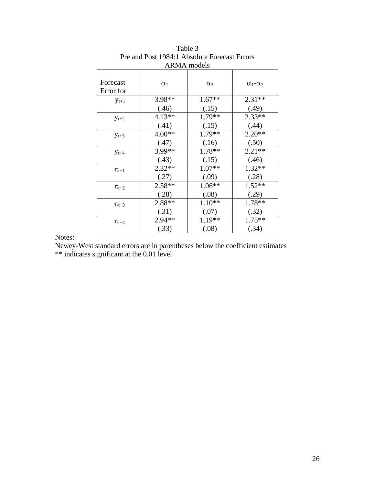| <b>ARMA</b> models    |            |            |                       |
|-----------------------|------------|------------|-----------------------|
| Forecast<br>Error for | $\alpha_1$ | $\alpha_2$ | $\alpha_1 - \alpha_2$ |
| $y_{t+1}$             | 3.98**     | $1.67**$   | $2.31**$              |
|                       | (.46)      | (.15)      | (.49)                 |
| $y_{t+2}$             | $4.13**$   | 1.79**     | 2.33**                |
|                       | (.41)      | (.15)      | (.44)                 |
| $y_{t+3}$             | $4.00**$   | 1.79**     | $2.20**$              |
|                       | (.47)      | (.16)      | (.50)                 |
| $y_{t+4}$             | 3.99**     | 1.78**     | $2.21**$              |
|                       | (.43)      | (.15)      | (.46)                 |
| $\pi_{t+1}$           | 2.32**     | $1.07**$   | $1.32**$              |
|                       | (.27)      | (.09)      | (.28)                 |
| $\pi_{t+2}$           | $2.58**$   | 1.06**     | $1.52**$              |
|                       | (.28)      | (.08)      | (.29)                 |
| $\pi_{t+3}$           | $2.88**$   | $1.10**$   | 1.78**                |
|                       | (.31)      | (.07)      | (.32)                 |
| $\pi_{t+4}$           | $2.94**$   | $1.19**$   | $1.75**$              |
|                       | (.33)      | (.08)      | (.34)                 |

Table 3 Pre and Post 1984:1 Absolute Forecast Errors

Newey-West standard errors are in parentheses below the coefficient estimates \*\* indicates significant at the 0.01 level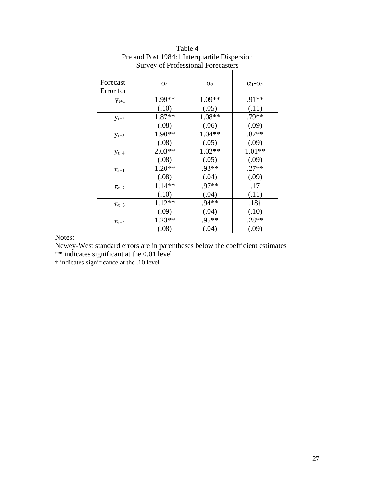| Survey of Professional Porecasters |            |            |                       |
|------------------------------------|------------|------------|-----------------------|
| Forecast<br>Error for              | $\alpha_1$ | $\alpha_2$ | $\alpha_1 - \alpha_2$ |
| $y_{t+1}$                          | 1.99**     | $1.09**$   | $.91**$               |
|                                    | (.10)      | (.05)      | (.11)                 |
| $y_{t+2}$                          | 1.87**     | $1.08**$   | .79**                 |
|                                    | (.08)      | (.06)      | (.09)                 |
| $y_{t+3}$                          | 1.90**     | $1.04**$   | $.87**$               |
|                                    | (.08)      | (.05)      | (.09)                 |
| $y_{t+4}$                          | $2.03**$   | $1.02**$   | $1.01**$              |
|                                    | (.08)      | (.05)      | (.09)                 |
| $\pi_{t+1}$                        | $1.20**$   | .93**      | $.27**$               |
|                                    | (.08)      | (.04)      | (.09)                 |
| $\pi_{t+2}$                        | $1.14**$   | .97**      | .17                   |
|                                    | (.10)      | (.04)      | (.11)                 |
| $\pi_{t+3}$                        | $1.12**$   | $.94**$    | .18 <sub>†</sub>      |
|                                    | (.09)      | (.04)      | (.10)                 |
| $\pi_{t+4}$                        | $1.23**$   | .95**      | $.28**$               |
|                                    | (.08)      | (.04)      | (.09)                 |

Table 4 Pre and Post 1984:1 Interquartile Dispersion Survey of Professional Forecasters

Newey-West standard errors are in parentheses below the coefficient estimates \*\* indicates significant at the 0.01 level

† indicates significance at the .10 level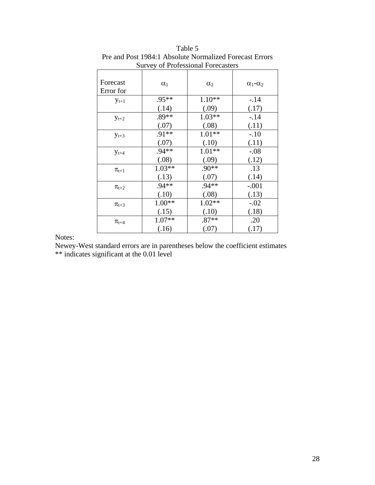| Survey of Froressional Porecasiers |            |            |                       |
|------------------------------------|------------|------------|-----------------------|
| Forecast<br>Error for              | $\alpha_1$ | $\alpha_2$ | $\alpha_1 - \alpha_2$ |
| $y_{t+1}$                          | .95**      | $1.10**$   | $-.14$                |
|                                    | (.14)      | (.09)      | (.17)                 |
| $y_{t+2}$                          | .89**      | $1.03**$   | $-14$                 |
|                                    | (.07)      | (.08)      | (.11)                 |
| $y_{t+3}$                          | $.91**$    | $1.01**$   | $-.10$                |
|                                    | (.07)      | (.10)      | (.11)                 |
| $y_{t+4}$                          | $.94**$    | $1.01**$   | $-.08$                |
|                                    | (.08)      | (.09)      | (.12)                 |
| $\pi_{t+1}$                        | $1.03**$   | $.90**$    | .13                   |
|                                    | (.13)      | (.07)      | (.14)                 |
| $\pi_{t+2}$                        | $.94**$    | $.94**$    | $-.001$               |
|                                    | (.10)      | (.08)      | (.13)                 |
| $\pi_{t+3}$                        | $1.00**$   | $1.02**$   | $-.02$                |
|                                    | (.15)      | (.10)      | (.18)                 |
| $\pi_\text{t+4}$                   | $1.07**$   | $.87**$    | .20                   |
|                                    | (.16)      | (.07)      | (.17)                 |

Table 5 Pre and Post 1984:1 Absolute Normalized Forecast Errors Survey of Professional Forecasters

Newey-West standard errors are in parentheses below the coefficient estimates \*\* indicates significant at the 0.01 level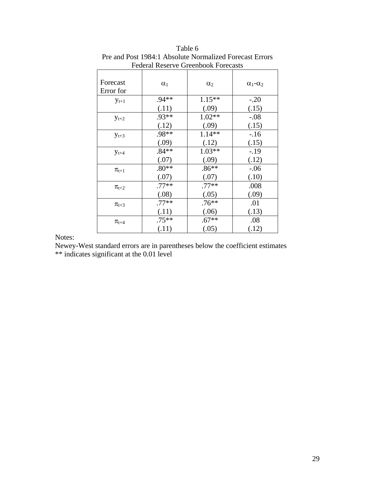| I cucial ixescive Citembook I olecasis |            |            |                         |
|----------------------------------------|------------|------------|-------------------------|
| Forecast<br>Error for                  | $\alpha_1$ | $\alpha_2$ | $\alpha_1$ - $\alpha_2$ |
| $y_{t+1}$                              | $.94**$    | $1.15**$   | $-.20$                  |
|                                        | (.11)      | (.09)      | (.15)                   |
| $y_{t+2}$                              | .93**      | $1.02**$   | $-.08$                  |
|                                        | (.12)      | (.09)      | (.15)                   |
| $y_{t+3}$                              | .98**      | $1.14**$   | $-16$                   |
|                                        | (.09)      | (.12)      | (.15)                   |
| $y_{t+4}$                              | $.84**$    | $1.03**$   | $-.19$                  |
|                                        | (.07)      | (.09)      | (.12)                   |
| $\pi_{t+1}$                            | $.80**$    | $.86**$    | $-.06$                  |
|                                        | (.07)      | (.07)      | (.10)                   |
| $\pi_{t+2}$                            | $.77**$    | $.77**$    | .008                    |
|                                        | (.08)      | (.05)      | (.09)                   |
| $\pi_{t+3}$                            | $.77**$    | $.76**$    | .01                     |
|                                        | (.11)      | (.06)      | (.13)                   |
| $\pi_\text{t+4}$                       | $.75***$   | $.67**$    | .08                     |
|                                        | (.11)      | (.05)      | (.12)                   |

Table 6 Pre and Post 1984:1 Absolute Normalized Forecast Errors Federal Reserve Greenbook Forecasts

Newey-West standard errors are in parentheses below the coefficient estimates \*\* indicates significant at the 0.01 level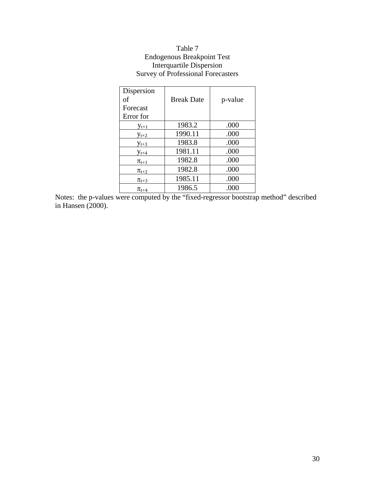# Table 7 Endogenous Breakpoint Test Interquartile Dispersion Survey of Professional Forecasters

| Dispersion<br>of | <b>Break Date</b> | p-value |
|------------------|-------------------|---------|
| Forecast         |                   |         |
| Error for        |                   |         |
| $y_{t+1}$        | 1983.2            | .000    |
| $y_{t+2}$        | 1990.11           | .000    |
| $y_{t+3}$        | 1983.8            | .000    |
| $y_{t+4}$        | 1981.11           | .000    |
| $\pi_{t+1}$      | 1982.8            | .000    |
| $\pi_{t+2}$      | 1982.8            | .000    |
| $\pi_{t+3}$      | 1985.11           | .000    |
| $\pi_{t+4}$      | 1986.5            | .000    |

Notes: the p-values were computed by the "fixed-regressor bootstrap method" described in Hansen (2000).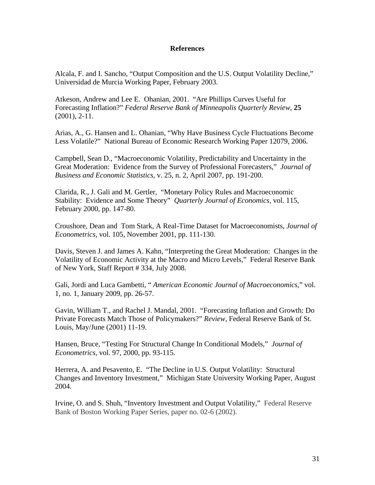## **References**

Alcala, F. and I. Sancho, "Output Composition and the U.S. Output Volatility Decline," Universidad de Murcia Working Paper, February 2003.

Atkeson, Andrew and Lee E. Ohanian, 2001. "Are Phillips Curves Useful for Forecasting Inflation?" *Federal Reserve Bank of Minneapolis Quarterly Review*, **25**  (2001), 2-11.

Arias, A., G. Hansen and L. Ohanian, "Why Have Business Cycle Fluctuations Become Less Volatile?" National Bureau of Economic Research Working Paper 12079, 2006.

Campbell, Sean D., "Macroeconomic Volatility, Predictability and Uncertainty in the Great Moderation: Evidence from the Survey of Professional Forecasters," *Journal of Business and Economic Statistics*, v. 25, n. 2, April 2007, pp. 191-200.

Clarida, R., J. Gali and M. Gertler, "Monetary Policy Rules and Macroeconomic Stability: Evidence and Some Theory" *Quarterly Journal of Economics*, vol. 115, February 2000, pp. 147-80.

Croushore, Dean and Tom Stark, A Real-Time Dataset for Macroeconomists, *Journal of Econometrics*, vol. 105, November 2001, pp. 111-130.

Davis, Steven J. and James A. Kahn, "Interpreting the Great Moderation: Changes in the Volatility of Economic Activity at the Macro and Micro Levels," Federal Reserve Bank of New York, Staff Report # 334, July 2008.

Gali, Jordi and Luca Gambetti, " *American Economic Journal of Macroeconomics*," vol. 1, no. 1, January 2009, pp. 26-57.

Gavin, William T., and Rachel J. Mandal, 2001. "Forecasting Inflation and Growth: Do Private Forecasts Match Those of Policymakers?" *Review*, Federal Reserve Bank of St. Louis, May/June (2001) 11-19.

Hansen, Bruce, "Testing For Structural Change In Conditional Models," *Journal of Econometrics*, vol. 97, 2000, pp. 93-115.

Herrera, A. and Pesavento, E. "The Decline in U.S. Output Volatility: Structural Changes and Inventory Investment," Michigan State University Working Paper, August 2004.

Irvine, O. and S. Shuh, "Inventory Investment and Output Volatility," Federal Reserve Bank of Boston Working Paper Series, paper no. 02-6 (2002).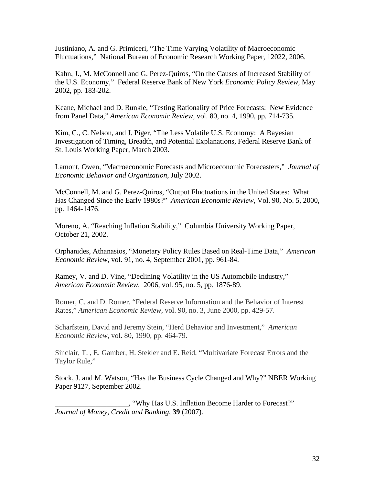Justiniano, A. and G. Primiceri, "The Time Varying Volatility of Macroeconomic Fluctuations," National Bureau of Economic Research Working Paper, 12022, 2006.

Kahn, J., M. McConnell and G. Perez-Quiros, "On the Causes of Increased Stability of the U.S. Economy," Federal Reserve Bank of New York *Economic Policy Review*, May 2002, pp. 183-202.

Keane, Michael and D. Runkle, "Testing Rationality of Price Forecasts: New Evidence from Panel Data," *American Economic Review*, vol. 80, no. 4, 1990, pp. 714-735.

Kim, C., C. Nelson, and J. Piger, "The Less Volatile U.S. Economy: A Bayesian Investigation of Timing, Breadth, and Potential Explanations, Federal Reserve Bank of St. Louis Working Paper, March 2003.

Lamont, Owen, "Macroeconomic Forecasts and Microeconomic Forecasters," *Journal of Economic Behavior and Organization*, July 2002.

McConnell, M. and G. Perez-Quiros, "Output Fluctuations in the United States: What Has Changed Since the Early 1980s?" *American Economic Review*, Vol. 90, No. 5, 2000, pp. 1464-1476.

Moreno, A. "Reaching Inflation Stability," Columbia University Working Paper, October 21, 2002.

Orphanides, Athanasios, "Monetary Policy Rules Based on Real-Time Data," *American Economic Review*, vol. 91, no. 4, September 2001, pp. 961-84.

Ramey, V. and D. Vine, "Declining Volatility in the US Automobile Industry," *American Economic Review*, 2006, vol. 95, no. 5, pp. 1876-89.

Romer, C. and D. Romer, "Federal Reserve Information and the Behavior of Interest Rates," *American Economic Review*, vol. 90, no. 3, June 2000, pp. 429-57.

Scharfstein, David and Jeremy Stein, "Herd Behavior and Investment," *American Economic Review*, vol. 80, 1990, pp. 464-79.

Sinclair, T. , E. Gamber, H. Stekler and E. Reid, "Multivariate Forecast Errors and the Taylor Rule,"

Stock, J. and M. Watson, "Has the Business Cycle Changed and Why?" NBER Working Paper 9127, September 2002.

\_\_\_\_\_\_\_\_\_\_\_\_\_\_\_\_\_\_\_\_, "Why Has U.S. Inflation Become Harder to Forecast?" *Journal of Money, Credit and Banking*, **39** (2007).